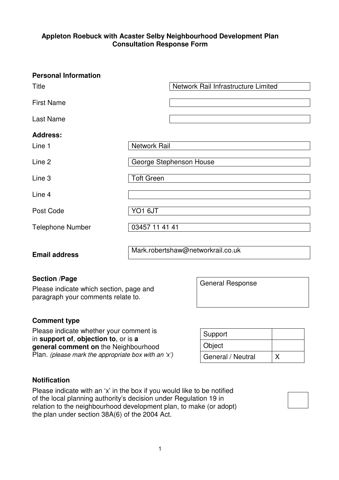## **Appleton Roebuck with Acaster Selby Neighbourhood Development Plan Consultation Response Form**

| <b>Personal Information</b> |                                     |
|-----------------------------|-------------------------------------|
| <b>Title</b>                | Network Rail Infrastructure Limited |
| <b>First Name</b>           |                                     |
| <b>Last Name</b>            |                                     |
| <b>Address:</b>             |                                     |
| Line 1                      | <b>Network Rail</b>                 |
| Line 2                      | George Stephenson House             |
| Line 3                      | <b>Toft Green</b>                   |
| Line 4                      |                                     |
| Post Code                   | YO1 6JT                             |
| <b>Telephone Number</b>     | 03457 11 41 41                      |
|                             |                                     |
| <b>Email address</b>        | Mark.robertshaw@networkrail.co.uk   |

## **Section /Page**

Please indicate which section, page and paragraph your comments relate to.

## **Comment type**

Please indicate whether your comment is in **support of**, **objection to**, or is **a general comment on** the Neighbourhood Plan. (please mark the appropriate box with an 'x')

| Support           |  |
|-------------------|--|
| Object            |  |
| General / Neutral |  |

General Response

## **Notification**

Please indicate with an 'x' in the box if you would like to be notified of the local planning authority's decision under Regulation 19 in relation to the neighbourhood development plan, to make (or adopt) the plan under section 38A(6) of the 2004 Act.